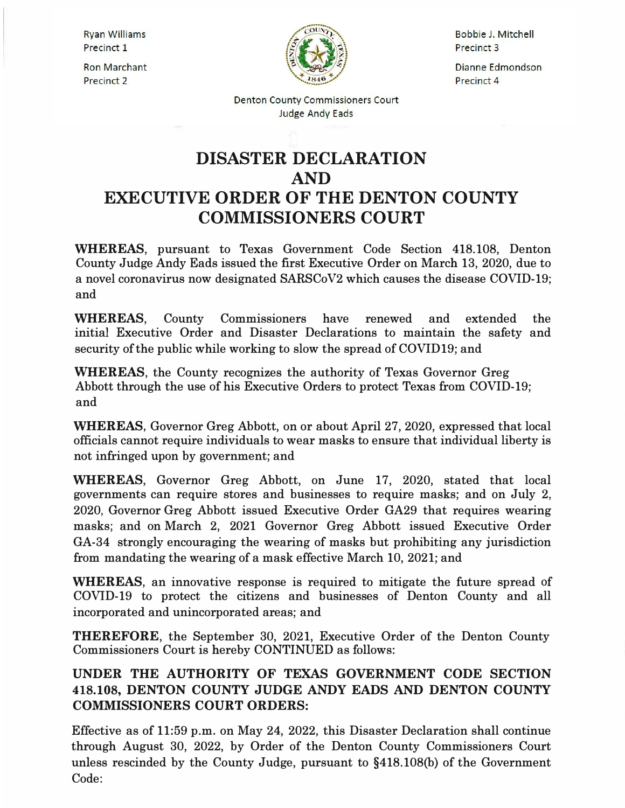**Ryan Williams** Precinct 1

**Ron Marchant** Precinct 2



Bobbie J. Mitchell **Precinct 3** 

Dianne Edmondson **Precinct 4** 

**Denton County Commissioners Court Judge Andy Eads** 

## **DISASTER DECLARATION AND EXECUTIVE ORDER OF THE DENTON COUNTY COMMISSIONERS COURT**

**WHEREAS,** pursuant to Texas Government Code Section 418.108, Denton County Judge Andy Eads issued the first Executive Order on March 13, 2020, due to a novel coronavirus now designated SARSCoV2 which causes the disease COVID-19; and

**WHEREAS,** County Commissioners have renewed and extended the initial Executive Order and Disaster Declarations to maintain the safety and security of the public while working to slow the spread of COVID19; and

**WHEREAS,** the County recognizes the authority of Texas Governor Greg Abbott through the use of his Executive Orders to protect Texas from COVID-19; and

**WHEREAS,** Governor Greg Abbott, on or about April 27, 2020, expressed that local officials cannot require individuals to wear masks to ensure that individual liberty is not infringed upon by government; and

**WHEREAS,** Governor Greg Abbott, on June 17, 2020, stated that local governments can require stores and businesses to require masks; and on July 2, 2020, Governor Greg Abbott issued Executive Order GA29 that requires wearing masks; and on March 2, 2021 Governor Greg Abbott issued Executive Order GA-34 strongly encouraging the wearing of masks but prohibiting any jurisdiction from mandating the wearing of a mask effective March 10, 2021; and

**WHEREAS,** an innovative response is required to mitigate the future spread of COVID-19 to protect the citizens and businesses of Denton County and all incorporated and unincorporated areas; and

**THEREFORE,** the September 30, 2021, Executive Order of the Denton County Commissioners Court is hereby CONTINUED as follows:

## **UNDER THE AUTHORITY OF TEXAS GOVERNMENT CODE SECTION 418.108, DENTON COUNTY JUDGE ANDY EADS AND DENTON COUNTY COMMISSIONERS COURT ORDERS:**

Effective as of 11:59 p.m. on May 24, 2022, this Disaster Declaration shall continue through August 30, 2022, by Order of the Denton County Commissioners Court unless rescinded by the County Judge, pursuant to §418.108(b) of the Government Code: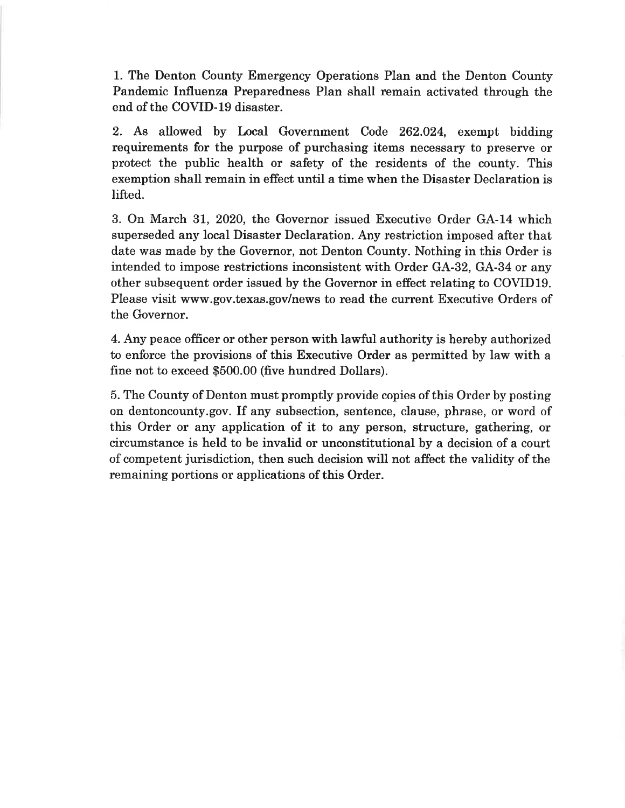1. The Denton County Emergency Operations Plan and the Denton County Pandemic Influenza Preparedness Plan shall remain activated through the end of the COVID-19 disaster.

2. As allowed by Local Government Code 262.024, exempt bidding requirements for the purpose of purchasing items necessary to preserve or protect the public health or safety of the residents of the county. This exemption shall remain in effect until a time when the Disaster Declaration is lifted.

3. On March 31, 2020, the Governor issued Executive Order GA-14 which superseded any local Disaster Declaration. Any restriction imposed after that date was made by the Governor, not Denton County. Nothing in this Order is intended to impose restrictions inconsistent with Order GA-32, GA-34 or any other subsequent order issued by the Governor in effect relating to COVID19. Please visit www.gov.texas.gov/news to read the current Executive Orders of the Governor.

4. Any peace officer or other person with lawful authority is hereby authorized to enforce the provisions of this Executive Order as permitted by law with a fine not to exceed \$500.00 (five hundred Dollars).

5. The County of Denton must promptly provide copies of this Order by posting on dentoncounty.gov. If any subsection, sentence, clause, phrase, or word of this Order or any application of it to any person, structure, gathering, or circumstance is held to be invalid or unconstitutional by a decision of a court of competent jurisdiction, then such decision will not affect the validity of the remaining portions or applications of this Order.